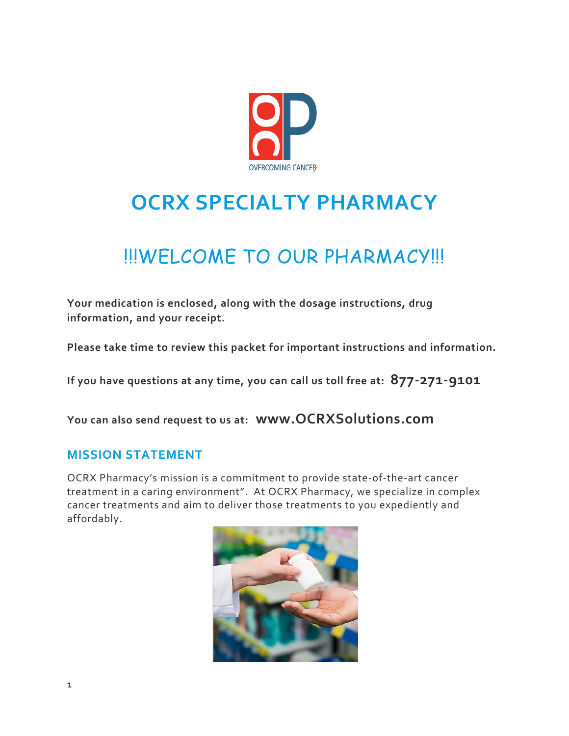

# **OCRX SPECIALTY PHARMACY**

# !!!WELCOME TO OUR PHARMACY!!!

**Your medication is enclosed, along with the dosage instructions, drug information, and your receipt.**

**Please take time to review this packet for important instructions and information.**

**If you have questions at any time, you can call us toll free at: 877-271-9101**

**You can also send request to us at: www.OCRXSolutions.com**

# **MISSION STATEMENT**

OCRX Pharmacy's mission is a commitment to provide state-of-the-art cancer treatment in a caring environment". At OCRX Pharmacy, we specialize in complex cancer treatments and aim to deliver those treatments to you expediently and affordably.

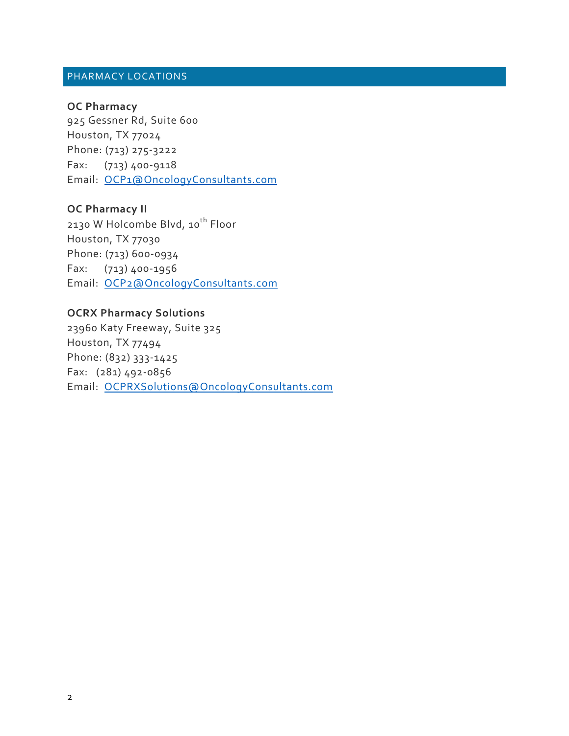## PHARMACY LOCATIONS

## **OC Pharmacy**

925 Gessner Rd, Suite 600 Houston, TX 77024 Phone: (713) 275-3222 Fax: (713) 400-9118 Email: OCP1@OncologyConsultants.com

# **OC Pharmacy II**

2130 W Holcombe Blvd, 10<sup>th</sup> Floor Houston, TX 77030 Phone: (713) 600-0934 Fax: (713) 400-1956 Email: OCP2@OncologyConsultants.com

## **OCRX Pharmacy Solutions**

23960 Katy Freeway, Suite 325 Houston, TX 77494 Phone: (832) 333-1425 Fax: (281) 492-0856 Email: OCPRXSolutions@OncologyConsultants.com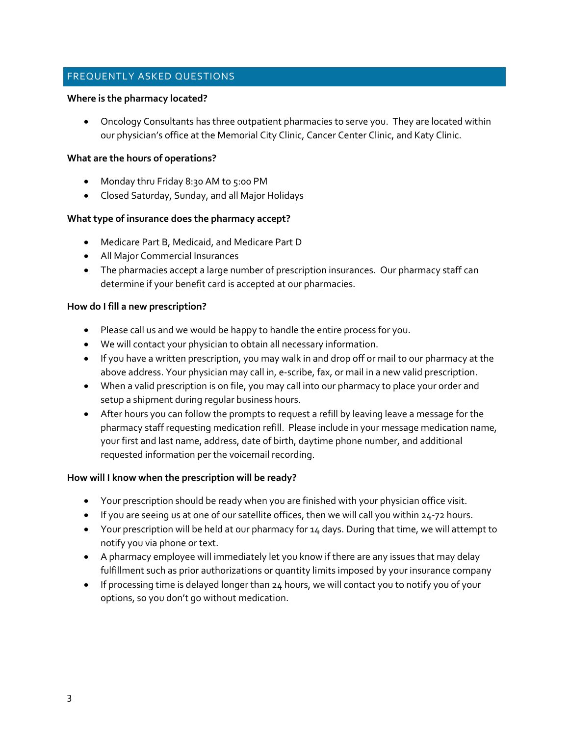## FREQUENTLY ASKED QUESTIONS

#### **Where is the pharmacy located?**

• Oncology Consultants has three outpatient pharmacies to serve you. They are located within our physician's office at the Memorial City Clinic, Cancer Center Clinic, and Katy Clinic.

#### **What are the hours of operations?**

- Monday thru Friday 8:30 AM to 5:00 PM
- Closed Saturday, Sunday, and all Major Holidays

## **What type of insurance does the pharmacy accept?**

- Medicare Part B, Medicaid, and Medicare Part D
- All Major Commercial Insurances
- The pharmacies accept a large number of prescription insurances. Our pharmacy staff can determine if your benefit card is accepted at our pharmacies.

#### **How do I fill a new prescription?**

- Please call us and we would be happy to handle the entire process for you.
- We will contact your physician to obtain all necessary information.
- If you have a written prescription, you may walk in and drop off or mail to our pharmacy at the above address. Your physician may call in, e-scribe, fax, or mail in a new valid prescription.
- When a valid prescription is on file, you may call into our pharmacy to place your order and setup a shipment during regular business hours.
- After hours you can follow the prompts to request a refill by leaving leave a message for the pharmacy staff requesting medication refill. Please include in your message medication name, your first and last name, address, date of birth, daytime phone number, and additional requested information per the voicemail recording.

#### **How will I know when the prescription will be ready?**

- Your prescription should be ready when you are finished with your physician office visit.
- If you are seeing us at one of our satellite offices, then we will call you within 24-72 hours.
- Your prescription will be held at our pharmacy for 14 days. During that time, we will attempt to notify you via phone or text.
- A pharmacy employee will immediately let you know if there are any issues that may delay fulfillment such as prior authorizations or quantity limits imposed by your insurance company
- If processing time is delayed longer than 24 hours, we will contact you to notify you of your options, so you don't go without medication.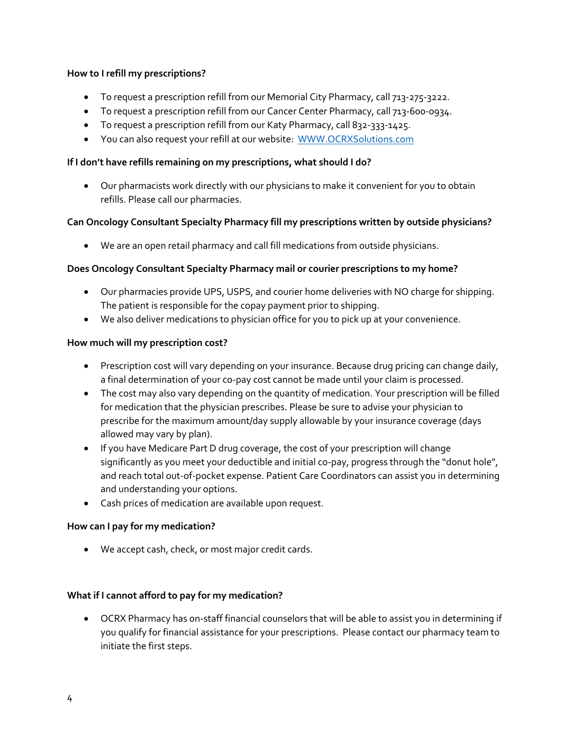## **How to I refill my prescriptions?**

- To request a prescription refill from our Memorial City Pharmacy, call 713-275-3222.
- To request a prescription refill from our Cancer Center Pharmacy, call 713-600-0934.
- To request a prescription refill from our Katy Pharmacy, call 832-333-1425.
- You can also request your refill at our website: WWW.OCRXSolutions.com

#### **If I don't have refills remaining on my prescriptions, what should I do?**

• Our pharmacists work directly with our physicians to make it convenient for you to obtain refills. Please call our pharmacies.

## **Can Oncology Consultant Specialty Pharmacy fill my prescriptions written by outside physicians?**

• We are an open retail pharmacy and call fill medications from outside physicians.

## **Does Oncology Consultant Specialty Pharmacy mail or courier prescriptions to my home?**

- Our pharmacies provide UPS, USPS, and courier home deliveries with NO charge for shipping. The patient is responsible for the copay payment prior to shipping.
- We also deliver medications to physician office for you to pick up at your convenience.

## **How much will my prescription cost?**

- Prescription cost will vary depending on your insurance. Because drug pricing can change daily, a final determination of your co-pay cost cannot be made until your claim is processed.
- The cost may also vary depending on the quantity of medication. Your prescription will be filled for medication that the physician prescribes. Please be sure to advise your physician to prescribe for the maximum amount/day supply allowable by your insurance coverage (days allowed may vary by plan).
- If you have Medicare Part D drug coverage, the cost of your prescription will change significantly as you meet your deductible and initial co-pay, progress through the "donut hole", and reach total out-of-pocket expense. Patient Care Coordinators can assist you in determining and understanding your options.
- Cash prices of medication are available upon request.

## **How can I pay for my medication?**

• We accept cash, check, or most major credit cards.

## **What if I cannot afford to pay for my medication?**

• OCRX Pharmacy has on-staff financial counselors that will be able to assist you in determining if you qualify for financial assistance for your prescriptions. Please contact our pharmacy team to initiate the first steps.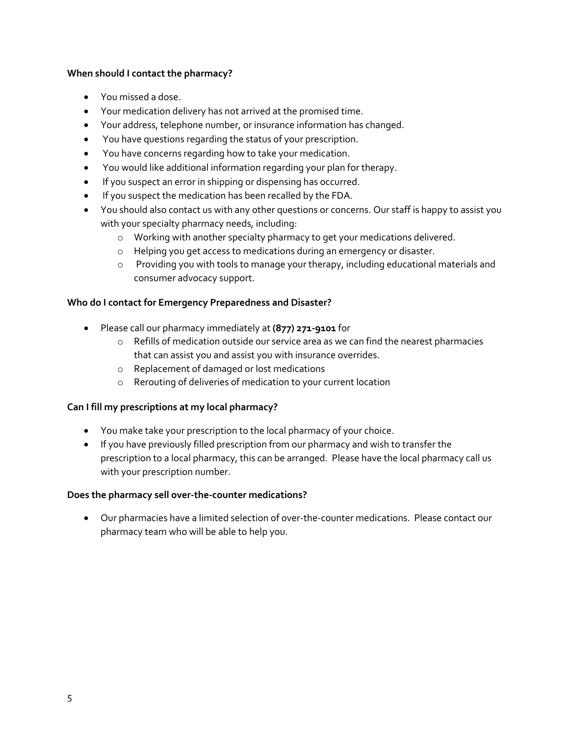## **When should I contact the pharmacy?**

- You missed a dose.
- Your medication delivery has not arrived at the promised time.
- Your address, telephone number, or insurance information has changed.
- You have questions regarding the status of your prescription.
- You have concerns regarding how to take your medication.
- You would like additional information regarding your plan for therapy.
- If you suspect an error in shipping or dispensing has occurred.
- If you suspect the medication has been recalled by the FDA.
- You should also contact us with any other questions or concerns. Our staff is happy to assist you with your specialty pharmacy needs, including:
	- o Working with another specialty pharmacy to get your medications delivered.
	- o Helping you get access to medications during an emergency or disaster.
	- o Providing you with tools to manage your therapy, including educational materials and consumer advocacy support.

## **Who do I contact for Emergency Preparedness and Disaster?**

- Please call our pharmacy immediately at **(877) 271-9101** for
	- o Refills of medication outside our service area as we can find the nearest pharmacies that can assist you and assist you with insurance overrides.
	- o Replacement of damaged or lost medications
	- o Rerouting of deliveries of medication to your current location

## **Can I fill my prescriptions at my local pharmacy?**

- You make take your prescription to the local pharmacy of your choice.
- If you have previously filled prescription from our pharmacy and wish to transfer the prescription to a local pharmacy, this can be arranged. Please have the local pharmacy call us with your prescription number.

## **Does the pharmacy sell over-the-counter medications?**

• Our pharmacies have a limited selection of over-the-counter medications. Please contact our pharmacy team who will be able to help you.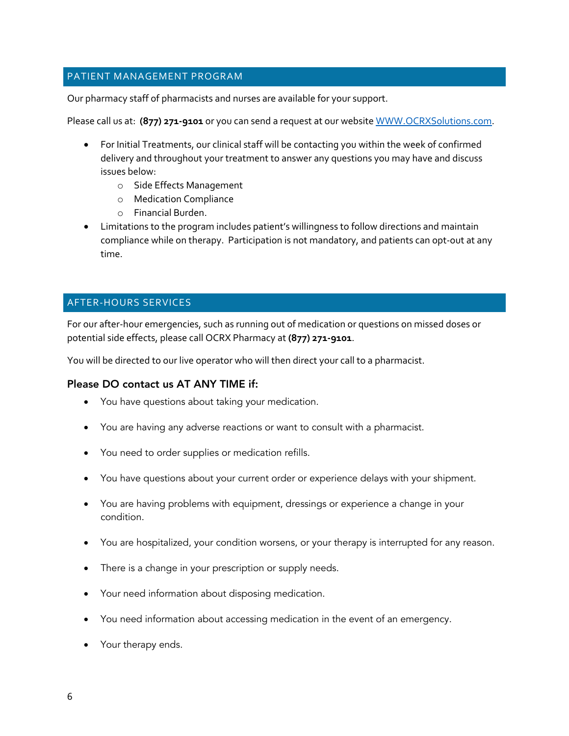## PATIENT MANAGEMENT PROGRAM

Our pharmacy staff of pharmacists and nurses are available for your support.

Please call us at: **(877) 271-9101** or you can send a request at our website WWW.OCRXSolutions.com.

- For Initial Treatments, our clinical staff will be contacting you within the week of confirmed delivery and throughout your treatment to answer any questions you may have and discuss issues below:
	- o Side Effects Management
	- o Medication Compliance
	- o Financial Burden.
- Limitations to the program includes patient's willingness to follow directions and maintain compliance while on therapy. Participation is not mandatory, and patients can opt-out at any time.

# AFTER-HOURS SERVICES

For our after-hour emergencies, such as running out of medication or questions on missed doses or potential side effects, please call OCRX Pharmacy at **(877) 271-9101**.

You will be directed to our live operator who will then direct your call to a pharmacist.

## Please DO contact us AT ANY TIME if:

- You have questions about taking your medication.
- You are having any adverse reactions or want to consult with a pharmacist.
- You need to order supplies or medication refills.
- You have questions about your current order or experience delays with your shipment.
- You are having problems with equipment, dressings or experience a change in your condition.
- You are hospitalized, your condition worsens, or your therapy is interrupted for any reason.
- There is a change in your prescription or supply needs.
- Your need information about disposing medication.
- You need information about accessing medication in the event of an emergency.
- Your therapy ends.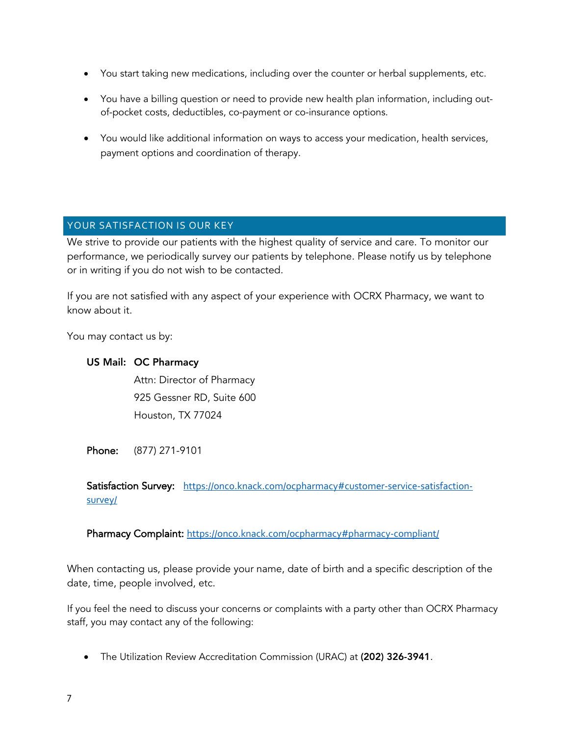- You start taking new medications, including over the counter or herbal supplements, etc.
- You have a billing question or need to provide new health plan information, including outof-pocket costs, deductibles, co-payment or co-insurance options.
- You would like additional information on ways to access your medication, health services, payment options and coordination of therapy.

# YOUR SATISFACTION IS OUR KEY

We strive to provide our patients with the highest quality of service and care. To monitor our performance, we periodically survey our patients by telephone. Please notify us by telephone or in writing if you do not wish to be contacted.

If you are not satisfied with any aspect of your experience with OCRX Pharmacy, we want to know about it.

You may contact us by:

## US Mail: OC Pharmacy

Attn: Director of Pharmacy 925 Gessner RD, Suite 600 Houston, TX 77024

Phone: (877) 271-9101

Satisfaction Survey: https://onco.knack.com/ocpharmacy#customer-service-satisfactionsurvey/

Pharmacy Complaint: https://onco.knack.com/ocpharmacy#pharmacy-compliant/

When contacting us, please provide your name, date of birth and a specific description of the date, time, people involved, etc.

If you feel the need to discuss your concerns or complaints with a party other than OCRX Pharmacy staff, you may contact any of the following:

• The Utilization Review Accreditation Commission (URAC) at (202) 326-3941*.*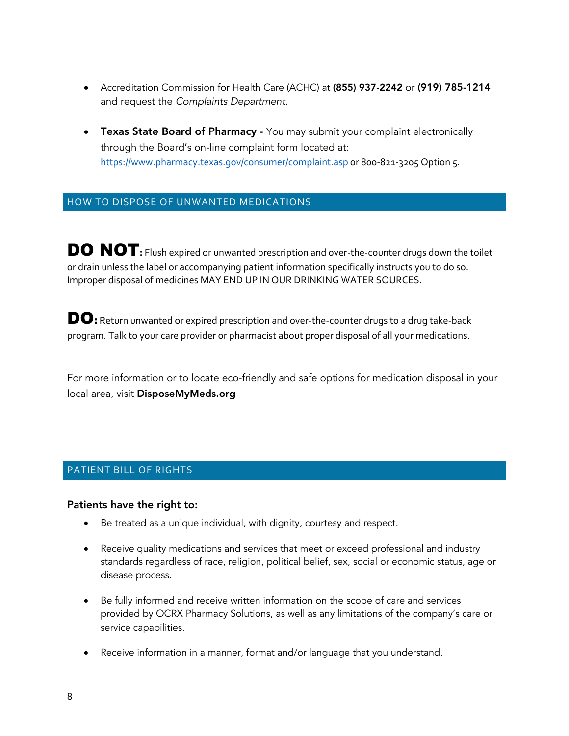- Accreditation Commission for Health Care (ACHC) at (855) 937-2242 or (919) 785-1214 and request the *Complaints Department.*
- Texas State Board of Pharmacy You may submit your complaint electronically through the Board's on-line complaint form located at: https://www.pharmacy.texas.gov/consumer/complaint.asp or 800-821-3205 Option 5.

## HOW TO DISPOSE OF UNWANTED MEDICATIONS

DO NOT**:** Flush expired or unwanted prescription and over-the-counter drugs down the toilet or drain unless the label or accompanying patient information specifically instructs you to do so. Improper disposal of medicines MAY END UP IN OUR DRINKING WATER SOURCES.

DO: Return unwanted or expired prescription and over-the-counter drugs to a drug take-back program. Talk to your care provider or pharmacist about proper disposal of all your medications.

For more information or to locate eco-friendly and safe options for medication disposal in your local area, visit DisposeMyMeds.org

## PATIENT BILL OF RIGHTS

#### Patients have the right to:

- Be treated as a unique individual, with dignity, courtesy and respect.
- Receive quality medications and services that meet or exceed professional and industry standards regardless of race, religion, political belief, sex, social or economic status, age or disease process.
- Be fully informed and receive written information on the scope of care and services provided by OCRX Pharmacy Solutions, as well as any limitations of the company's care or service capabilities.
- Receive information in a manner, format and/or language that you understand.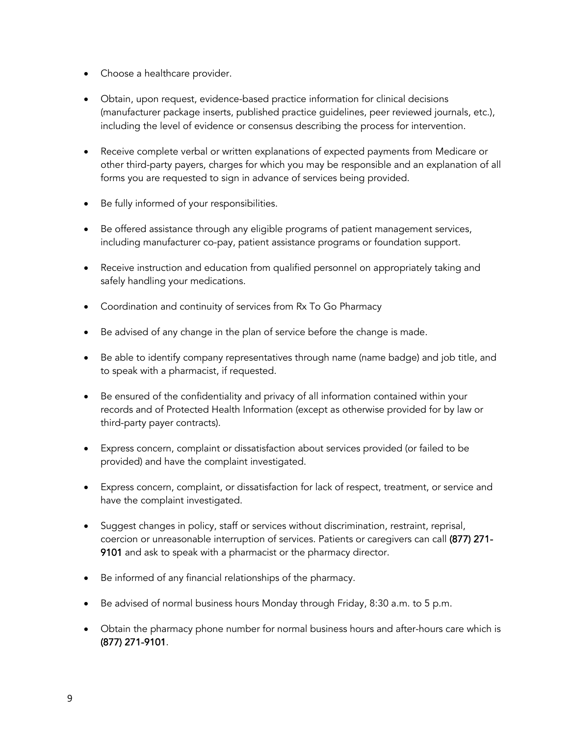- Choose a healthcare provider.
- Obtain, upon request, evidence-based practice information for clinical decisions (manufacturer package inserts, published practice guidelines, peer reviewed journals, etc.), including the level of evidence or consensus describing the process for intervention.
- Receive complete verbal or written explanations of expected payments from Medicare or other third-party payers, charges for which you may be responsible and an explanation of all forms you are requested to sign in advance of services being provided.
- Be fully informed of your responsibilities.
- Be offered assistance through any eligible programs of patient management services, including manufacturer co-pay, patient assistance programs or foundation support.
- Receive instruction and education from qualified personnel on appropriately taking and safely handling your medications.
- Coordination and continuity of services from Rx To Go Pharmacy
- Be advised of any change in the plan of service before the change is made.
- Be able to identify company representatives through name (name badge) and job title, and to speak with a pharmacist, if requested.
- Be ensured of the confidentiality and privacy of all information contained within your records and of Protected Health Information (except as otherwise provided for by law or third-party payer contracts).
- Express concern, complaint or dissatisfaction about services provided (or failed to be provided) and have the complaint investigated.
- Express concern, complaint, or dissatisfaction for lack of respect, treatment, or service and have the complaint investigated.
- Suggest changes in policy, staff or services without discrimination, restraint, reprisal, coercion or unreasonable interruption of services. Patients or caregivers can call (877) 271- 9101 and ask to speak with a pharmacist or the pharmacy director.
- Be informed of any financial relationships of the pharmacy.
- Be advised of normal business hours Monday through Friday, 8:30 a.m. to 5 p.m.
- Obtain the pharmacy phone number for normal business hours and after-hours care which is (877) 271-9101.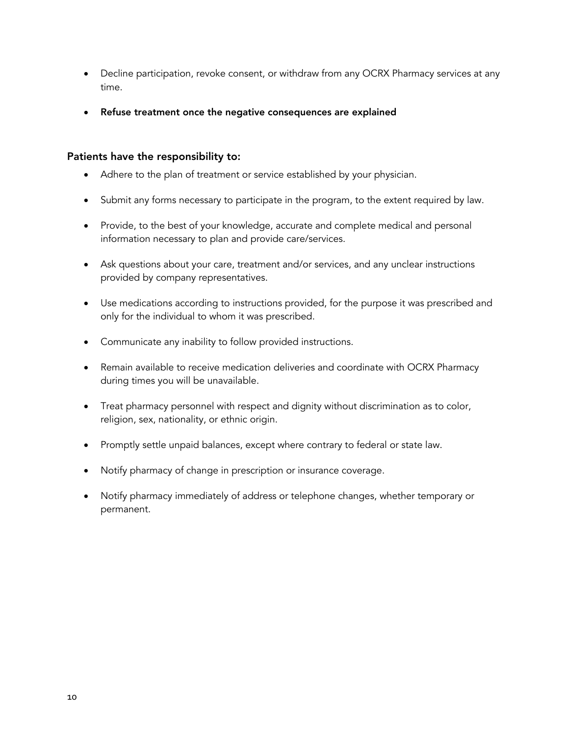- Decline participation, revoke consent, or withdraw from any OCRX Pharmacy services at any time.
- Refuse treatment once the negative consequences are explained

## Patients have the responsibility to:

- Adhere to the plan of treatment or service established by your physician.
- Submit any forms necessary to participate in the program, to the extent required by law.
- Provide, to the best of your knowledge, accurate and complete medical and personal information necessary to plan and provide care/services.
- Ask questions about your care, treatment and/or services, and any unclear instructions provided by company representatives.
- Use medications according to instructions provided, for the purpose it was prescribed and only for the individual to whom it was prescribed.
- Communicate any inability to follow provided instructions.
- Remain available to receive medication deliveries and coordinate with OCRX Pharmacy during times you will be unavailable.
- Treat pharmacy personnel with respect and dignity without discrimination as to color, religion, sex, nationality, or ethnic origin.
- Promptly settle unpaid balances, except where contrary to federal or state law.
- Notify pharmacy of change in prescription or insurance coverage.
- Notify pharmacy immediately of address or telephone changes, whether temporary or permanent.